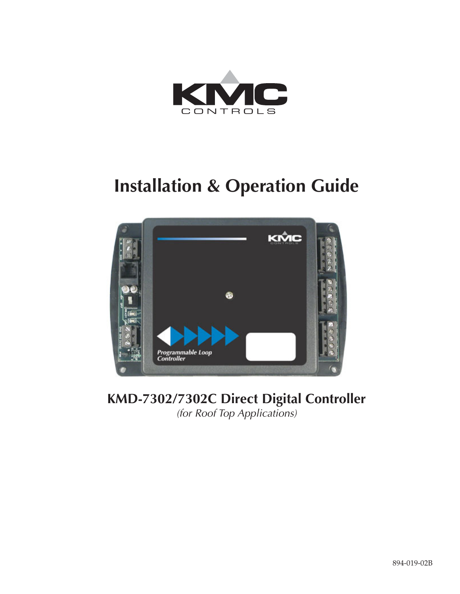

# **Installation & Operation Guide**



# **KMD-7302/7302C Direct Digital Controller** (for Roof Top Applications)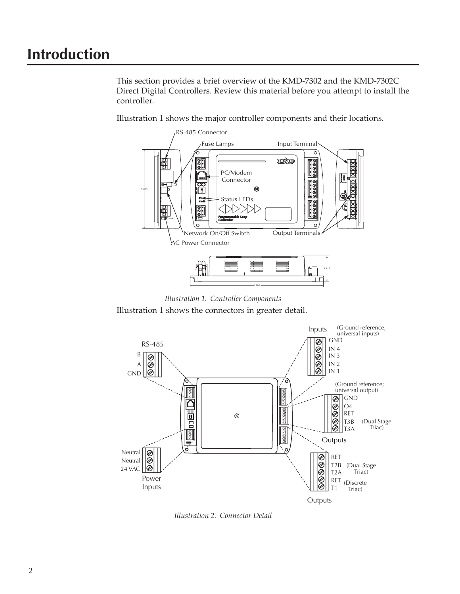# **Introduction**

This section provides a brief overview of the KMD-7302 and the KMD-7302C Direct Digital Controllers. Review this material before you attempt to install the controller.

Illustration 1 shows the major controller components and their locations.



*Illustration 1. Controller Components*

Illustration 1 shows the connectors in greater detail.



*Illustration 2. Connector Detail*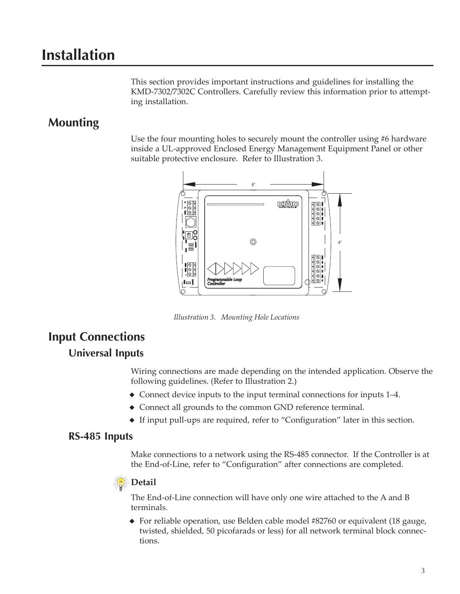# **Installation**

This section provides important instructions and guidelines for installing the KMD-7302/7302C Controllers. Carefully review this information prior to attempting installation.

### **Mounting**

Use the four mounting holes to securely mount the controller using #6 hardware inside a UL-approved Enclosed Energy Management Equipment Panel or other suitable protective enclosure. Refer to Illustration 3.



### **Input Connections**

#### **Universal Inputs**

Wiring connections are made depending on the intended application. Observe the following guidelines. (Refer to Illustration 2.)

- ◆ Connect device inputs to the input terminal connections for inputs 1–4.
- ◆ Connect all grounds to the common GND reference terminal.
- ◆ If input pull-ups are required, refer to "Configuration" later in this section.

#### **RS-485 Inputs**

Make connections to a network using the RS-485 connector. If the Controller is at the End-of-Line, refer to "Configuration" after connections are completed.

# *<u>Detail</u>*

The End-of-Line connection will have only one wire attached to the A and B terminals.

◆ For reliable operation, use Belden cable model #82760 or equivalent (18 gauge, twisted, shielded, 50 picofarads or less) for all network terminal block connections.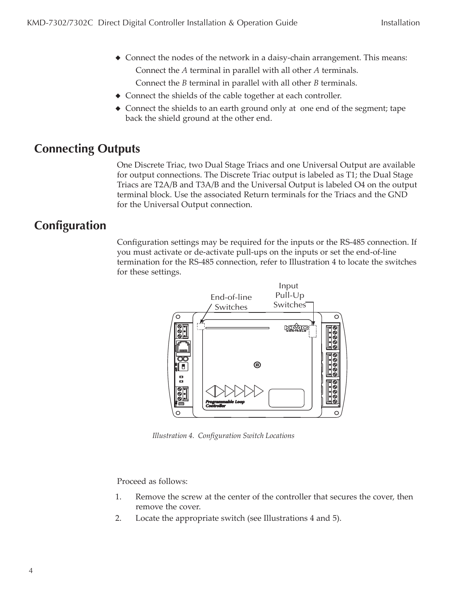- ◆ Connect the nodes of the network in a daisy-chain arrangement. This means: Connect the *A* terminal in parallel with all other *A* terminals. Connect the *B* terminal in parallel with all other *B* terminals.
- ◆ Connect the shields of the cable together at each controller.
- ◆ Connect the shields to an earth ground only at one end of the segment; tape back the shield ground at the other end.

# **Connecting Outputs**

One Discrete Triac, two Dual Stage Triacs and one Universal Output are available for output connections. The Discrete Triac output is labeled as T1; the Dual Stage Triacs are T2A/B and T3A/B and the Universal Output is labeled O4 on the output terminal block. Use the associated Return terminals for the Triacs and the GND for the Universal Output connection.

# **Configuration**

Configuration settings may be required for the inputs or the RS-485 connection. If you must activate or de-activate pull-ups on the inputs or set the end-of-line termination for the RS-485 connection, refer to Illustration 4 to locate the switches for these settings.



*Illustration 4. Configuration Switch Locations*

Proceed as follows:

- 1. Remove the screw at the center of the controller that secures the cover, then remove the cover.
- 2. Locate the appropriate switch (see Illustrations 4 and 5).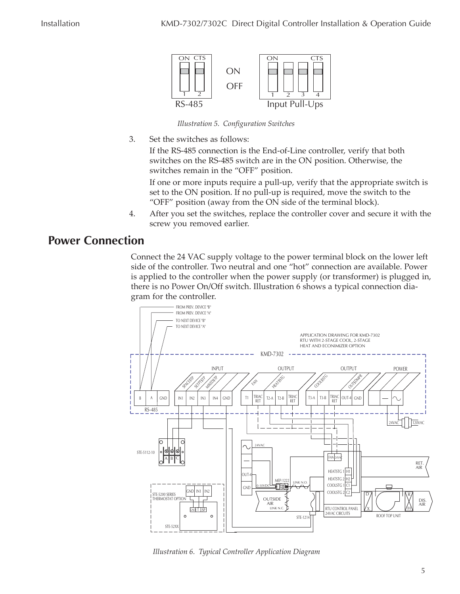

*Illustration 5. Configuration Switches*

3. Set the switches as follows:

If the RS-485 connection is the End-of-Line controller, verify that both switches on the RS-485 switch are in the ON position. Otherwise, the switches remain in the "OFF" position.

If one or more inputs require a pull-up, verify that the appropriate switch is set to the ON position. If no pull-up is required, move the switch to the "OFF" position (away from the ON side of the terminal block).

4. After you set the switches, replace the controller cover and secure it with the screw you removed earlier.

### **Power Connection**

Connect the 24 VAC supply voltage to the power terminal block on the lower left side of the controller. Two neutral and one "hot" connection are available. Power is applied to the controller when the power supply (or transformer) is plugged in, there is no Power On/Off switch. Illustration 6 shows a typical connection diagram for the controller.



*Illustration 6. Typical Controller Application Diagram*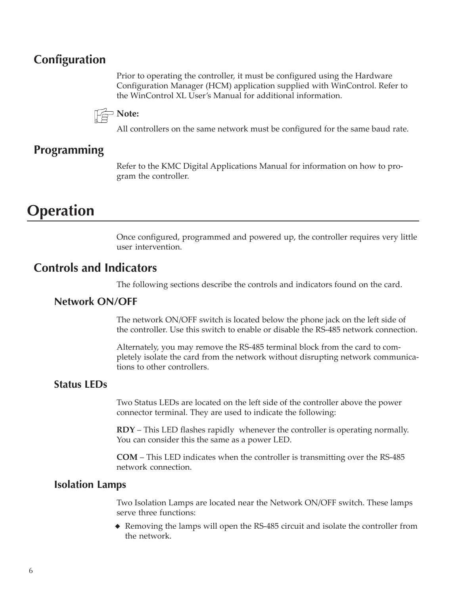### **Configuration**

Prior to operating the controller, it must be configured using the Hardware Configuration Manager (HCM) application supplied with WinControl. Refer to the WinControl XL User's Manual for additional information.



All controllers on the same network must be configured for the same baud rate.

### **Programming**

Refer to the KMC Digital Applications Manual for information on how to program the controller.

# **Operation**

Once configured, programmed and powered up, the controller requires very little user intervention.

#### **Controls and Indicators**

The following sections describe the controls and indicators found on the card.

#### **Network ON/OFF**

The network ON/OFF switch is located below the phone jack on the left side of the controller. Use this switch to enable or disable the RS-485 network connection.

Alternately, you may remove the RS-485 terminal block from the card to completely isolate the card from the network without disrupting network communications to other controllers.

#### **Status LEDs**

Two Status LEDs are located on the left side of the controller above the power connector terminal. They are used to indicate the following:

**RDY** – This LED flashes rapidly whenever the controller is operating normally. You can consider this the same as a power LED.

**COM** – This LED indicates when the controller is transmitting over the RS-485 network connection.

#### **Isolation Lamps**

Two Isolation Lamps are located near the Network ON/OFF switch. These lamps serve three functions:

◆ Removing the lamps will open the RS-485 circuit and isolate the controller from the network.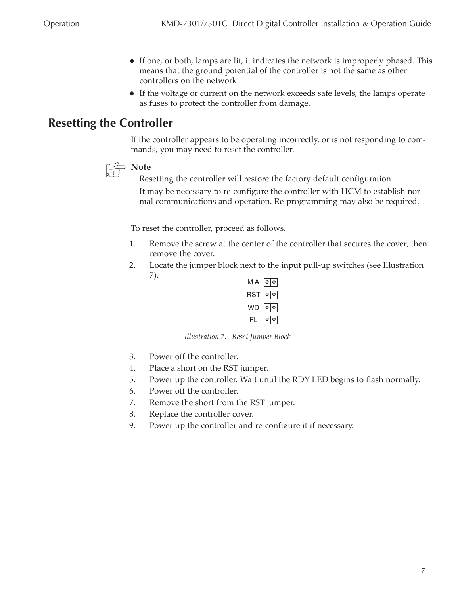- ◆ If one, or both, lamps are lit, it indicates the network is improperly phased. This means that the ground potential of the controller is not the same as other controllers on the network
- ◆ If the voltage or current on the network exceeds safe levels, the lamps operate as fuses to protect the controller from damage.

# **Resetting the Controller**

If the controller appears to be operating incorrectly, or is not responding to commands, you may need to reset the controller.



Resetting the controller will restore the factory default configuration.

It may be necessary to re-configure the controller with HCM to establish normal communications and operation. Re-programming may also be required.

To reset the controller, proceed as follows.

- 1. Remove the screw at the center of the controller that secures the cover, then remove the cover.
- 2. Locate the jumper block next to the input pull-up switches (see Illustration 7).



*Illustration 7. Reset Jumper Block*

- 3. Power off the controller.
- 4. Place a short on the RST jumper.
- 5. Power up the controller. Wait until the RDY LED begins to flash normally.
- 6. Power off the controller.
- 7. Remove the short from the RST jumper.
- 8. Replace the controller cover.
- 9. Power up the controller and re-configure it if necessary.